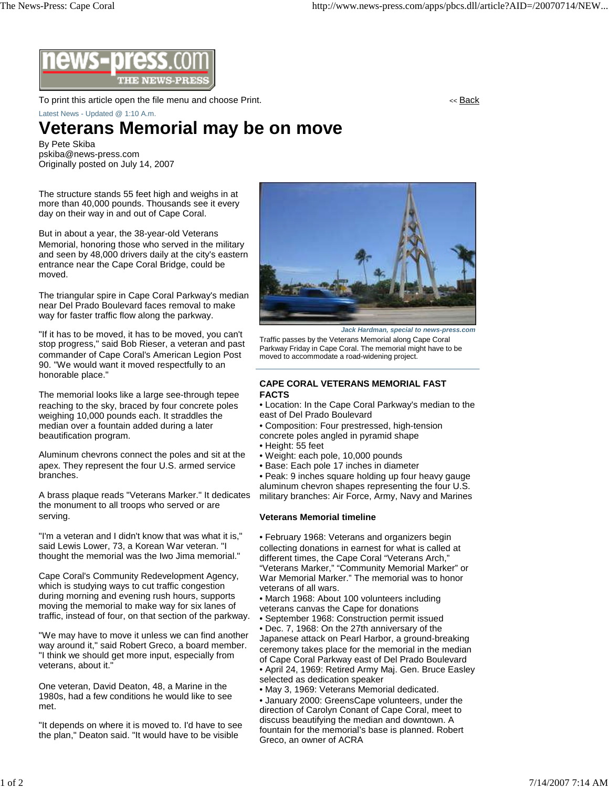

To print this article open the file menu and choose Print. The state of the state of the state of the state of the state of the state of the state of the state of the state of the state of the state of the state of the sta

Latest News - Updated @ 1:10 A.m.

## **Veterans Memorial may be on move**

By Pete Skiba pskiba@news-press.com Originally posted on July 14, 2007

The structure stands 55 feet high and weighs in at more than 40,000 pounds. Thousands see it every day on their way in and out of Cape Coral.

But in about a year, the 38-year-old Veterans Memorial, honoring those who served in the military and seen by 48,000 drivers daily at the city's eastern entrance near the Cape Coral Bridge, could be moved.

The triangular spire in Cape Coral Parkway's median near Del Prado Boulevard faces removal to make way for faster traffic flow along the parkway.

"If it has to be moved, it has to be moved, you can't stop progress," said Bob Rieser, a veteran and past commander of Cape Coral's American Legion Post 90. "We would want it moved respectfully to an honorable place."

The memorial looks like a large see-through tepee reaching to the sky, braced by four concrete poles weighing 10,000 pounds each. It straddles the median over a fountain added during a later beautification program.

Aluminum chevrons connect the poles and sit at the apex. They represent the four U.S. armed service branches.

A brass plaque reads "Veterans Marker." It dedicates the monument to all troops who served or are serving.

"I'm a veteran and I didn't know that was what it is," said Lewis Lower, 73, a Korean War veteran. "I thought the memorial was the Iwo Jima memorial."

Cape Coral's Community Redevelopment Agency, which is studying ways to cut traffic congestion during morning and evening rush hours, supports moving the memorial to make way for six lanes of traffic, instead of four, on that section of the parkway.

"We may have to move it unless we can find another way around it," said Robert Greco, a board member. "I think we should get more input, especially from veterans, about it."

One veteran, David Deaton, 48, a Marine in the 1980s, had a few conditions he would like to see met.

"It depends on where it is moved to. I'd have to see the plan," Deaton said. "It would have to be visible



*Jack Hardman, special to news-press.com*

Traffic passes by the Veterans Memorial along Cape Coral Parkway Friday in Cape Coral. The memorial might have to be moved to accommodate a road-widening project.

## **CAPE CORAL VETERANS MEMORIAL FAST FACTS**

- Location: In the Cape Coral Parkway's median to the east of Del Prado Boulevard
- Composition: Four prestressed, high-tension
- concrete poles angled in pyramid shape
- Height: 55 feet
- Weight: each pole, 10,000 pounds
- Base: Each pole 17 inches in diameter

• Peak: 9 inches square holding up four heavy gauge aluminum chevron shapes representing the four U.S. military branches: Air Force, Army, Navy and Marines

## **Veterans Memorial timeline**

• February 1968: Veterans and organizers begin collecting donations in earnest for what is called at different times, the Cape Coral "Veterans Arch," "Veterans Marker," "Community Memorial Marker" or War Memorial Marker." The memorial was to honor veterans of all wars.

• March 1968: About 100 volunteers including veterans canvas the Cape for donations

• September 1968: Construction permit issued

• Dec. 7, 1968: On the 27th anniversary of the Japanese attack on Pearl Harbor, a ground-breaking ceremony takes place for the memorial in the median of Cape Coral Parkway east of Del Prado Boulevard • April 24, 1969: Retired Army Maj. Gen. Bruce Easley selected as dedication speaker

• May 3, 1969: Veterans Memorial dedicated.

• January 2000: GreensCape volunteers, under the direction of Carolyn Conant of Cape Coral, meet to discuss beautifying the median and downtown. A fountain for the memorial's base is planned. Robert Greco, an owner of ACRA